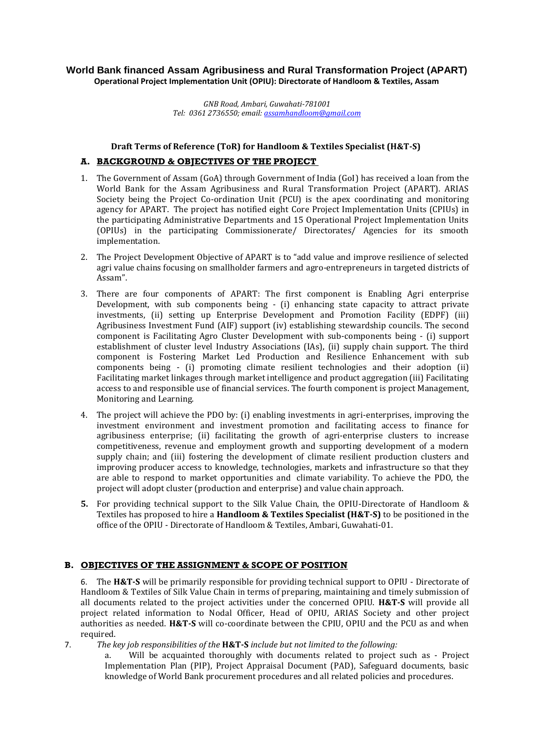# **World Bank financed Assam Agribusiness and Rural Transformation Project (APART) Operational Project Implementation Unit (OPIU): Directorate of Handloom & Textiles, Assam**

*GNB Road, Ambari, Guwahati-781001 Tel: 0361 2736550; email[: assamhandloom@gmail.com](mailto:assamhandloom@gmail.com)*

#### **Draft Terms of Reference (ToR) for Handloom & Textiles Specialist (H&T-S)**

# **A. BACKGROUND & OBJECTIVES OF THE PROJECT**

- 1. The Government of Assam (GoA) through Government of India (GoI) has received a loan from the World Bank for the Assam Agribusiness and Rural Transformation Project (APART). ARIAS Society being the Project Co-ordination Unit (PCU) is the apex coordinating and monitoring agency for APART. The project has notified eight Core Project Implementation Units (CPIUs) in the participating Administrative Departments and 15 Operational Project Implementation Units (OPIUs) in the participating Commissionerate/ Directorates/ Agencies for its smooth implementation.
- 2. The Project Development Objective of APART is to "add value and improve resilience of selected agri value chains focusing on smallholder farmers and agro-entrepreneurs in targeted districts of Assam".
- 3. There are four components of APART: The first component is Enabling Agri enterprise Development, with sub components being - (i) enhancing state capacity to attract private investments, (ii) setting up Enterprise Development and Promotion Facility (EDPF) (iii) Agribusiness Investment Fund (AIF) support (iv) establishing stewardship councils. The second component is Facilitating Agro Cluster Development with sub-components being - (i) support establishment of cluster level Industry Associations (IAs), (ii) supply chain support. The third component is Fostering Market Led Production and Resilience Enhancement with sub components being - (i) promoting climate resilient technologies and their adoption (ii) Facilitating market linkages through market intelligence and product aggregation (iii) Facilitating access to and responsible use of financial services. The fourth component is project Management, Monitoring and Learning.
- 4. The project will achieve the PDO by: (i) enabling investments in agri-enterprises, improving the investment environment and investment promotion and facilitating access to finance for agribusiness enterprise; (ii) facilitating the growth of agri-enterprise clusters to increase competitiveness, revenue and employment growth and supporting development of a modern supply chain; and (iii) fostering the development of climate resilient production clusters and improving producer access to knowledge, technologies, markets and infrastructure so that they are able to respond to market opportunities and climate variability. To achieve the PDO, the project will adopt cluster (production and enterprise) and value chain approach.
- **5.** For providing technical support to the Silk Value Chain, the OPIU-Directorate of Handloom & Textiles has proposed to hire a **Handloom & Textiles Specialist (H&T-S)** to be positioned in the office of the OPIU - Directorate of Handloom & Textiles, Ambari, Guwahati-01.

## **B. OBJECTIVES OF THE ASSIGNMENT & SCOPE OF POSITION**

6. The **H&T-S** will be primarily responsible for providing technical support to OPIU - Directorate of Handloom & Textiles of Silk Value Chain in terms of preparing, maintaining and timely submission of all documents related to the project activities under the concerned OPIU. **H&T-S** will provide all project related information to Nodal Officer, Head of OPIU, ARIAS Society and other project authorities as needed. **H&T-S** will co-coordinate between the CPIU, OPIU and the PCU as and when required.

7. *The key job responsibilities of the* **H&T-S** *include but not limited to the following:*

a. Will be acquainted thoroughly with documents related to project such as - Project Implementation Plan (PIP), Project Appraisal Document (PAD), Safeguard documents, basic knowledge of World Bank procurement procedures and all related policies and procedures.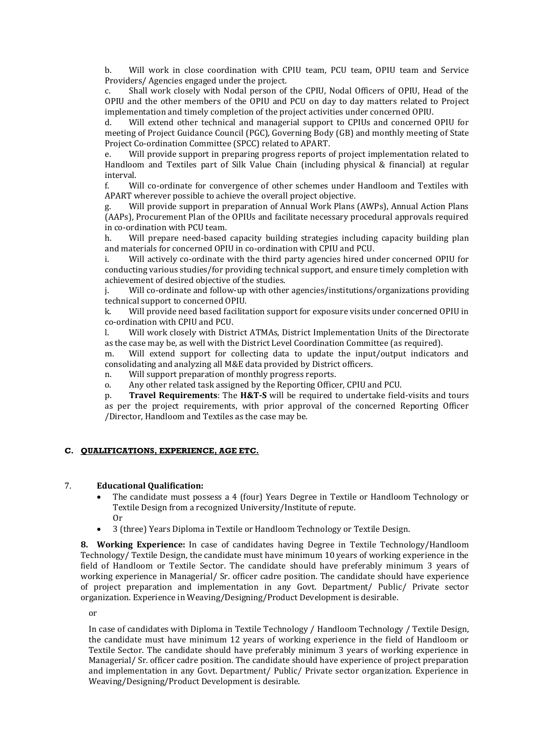b. Will work in close coordination with CPIU team, PCU team, OPIU team and Service Providers/ Agencies engaged under the project.

c. Shall work closely with Nodal person of the CPIU, Nodal Officers of OPIU, Head of the OPIU and the other members of the OPIU and PCU on day to day matters related to Project implementation and timely completion of the project activities under concerned OPIU.

d. Will extend other technical and managerial support to CPIUs and concerned OPIU for meeting of Project Guidance Council (PGC), Governing Body (GB) and monthly meeting of State Project Co-ordination Committee (SPCC) related to APART.

e. Will provide support in preparing progress reports of project implementation related to Handloom and Textiles part of Silk Value Chain (including physical & financial) at regular interval.

f. Will co-ordinate for convergence of other schemes under Handloom and Textiles with APART wherever possible to achieve the overall project objective.

g. Will provide support in preparation of Annual Work Plans (AWPs), Annual Action Plans (AAPs), Procurement Plan of the OPIUs and facilitate necessary procedural approvals required in co-ordination with PCU team.

h. Will prepare need-based capacity building strategies including capacity building plan and materials for concerned OPIU in co-ordination with CPIU and PCU.

i. Will actively co-ordinate with the third party agencies hired under concerned OPIU for conducting various studies/for providing technical support, and ensure timely completion with achievement of desired objective of the studies.

Will co-ordinate and follow-up with other agencies/institutions/organizations providing technical support to concerned OPIU.

k. Will provide need based facilitation support for exposure visits under concerned OPIU in co-ordination with CPIU and PCU.

l. Will work closely with District ATMAs, District Implementation Units of the Directorate as the case may be, as well with the District Level Coordination Committee (as required).

m. Will extend support for collecting data to update the input/output indicators and consolidating and analyzing all M&E data provided by District officers.

n. Will support preparation of monthly progress reports.

o. Any other related task assigned by the Reporting Officer, CPIU and PCU.

p. **Travel Requirements**: The **H&T-S** will be required to undertake field-visits and tours as per the project requirements, with prior approval of the concerned Reporting Officer /Director, Handloom and Textiles as the case may be.

#### **C. QUALIFICATIONS, EXPERIENCE, AGE ETC.**

#### 7. **Educational Qualification:**

- The candidate must possess a 4 (four) Years Degree in Textile or Handloom Technology or Textile Design from a recognized University/Institute of repute. Or
- 3 (three) Years Diploma in Textile or Handloom Technology or Textile Design.

**8. Working Experience:** In case of candidates having Degree in Textile Technology/Handloom Technology/ Textile Design, the candidate must have minimum 10 years of working experience in the field of Handloom or Textile Sector. The candidate should have preferably minimum 3 years of working experience in Managerial/ Sr. officer cadre position. The candidate should have experience of project preparation and implementation in any Govt. Department/ Public/ Private sector organization. Experience in Weaving/Designing/Product Development is desirable.

or

In case of candidates with Diploma in Textile Technology / Handloom Technology / Textile Design, the candidate must have minimum 12 years of working experience in the field of Handloom or Textile Sector. The candidate should have preferably minimum 3 years of working experience in Managerial/ Sr. officer cadre position. The candidate should have experience of project preparation and implementation in any Govt. Department/ Public/ Private sector organization. Experience in Weaving/Designing/Product Development is desirable.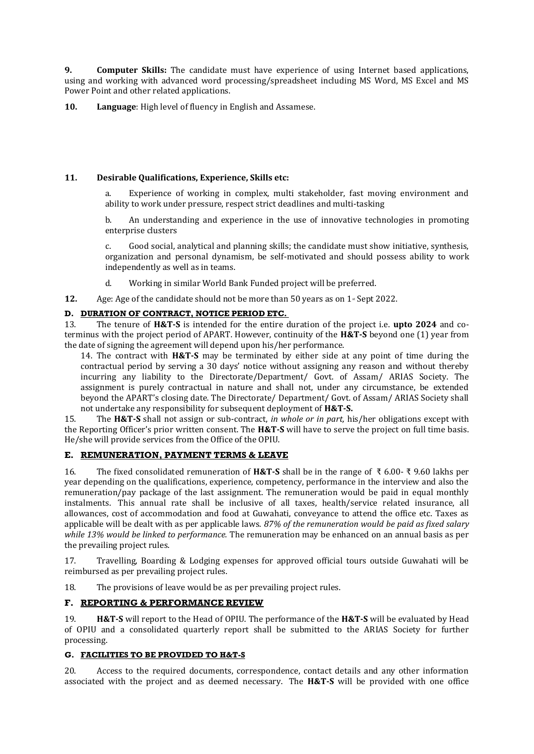**9. Computer Skills:** The candidate must have experience of using Internet based applications, using and working with advanced word processing/spreadsheet including MS Word, MS Excel and MS Power Point and other related applications.

**10. Language**: High level of fluency in English and Assamese.

## **11. Desirable Qualifications, Experience, Skills etc:**

a. Experience of working in complex, multi stakeholder, fast moving environment and ability to work under pressure, respect strict deadlines and multi-tasking

b. An understanding and experience in the use of innovative technologies in promoting enterprise clusters

c. Good social, analytical and planning skills; the candidate must show initiative, synthesis, organization and personal dynamism, be self-motivated and should possess ability to work independently as well as in teams.

d. Working in similar World Bank Funded project will be preferred.

**12.** Age: Age of the candidate should not be more than 50 years as on  $1 \cdot$  Sept 2022.

## **D. DURATION OF CONTRACT, NOTICE PERIOD ETC.**

13. The tenure of **H&T-S** is intended for the entire duration of the project i.e. **upto 2024** and coterminus with the project period of APART. However, continuity of the **H&T-S** beyond one (1) year from the date of signing the agreement will depend upon his/her performance.

14. The contract with **H&T-S** may be terminated by either side at any point of time during the contractual period by serving a 30 days' notice without assigning any reason and without thereby incurring any liability to the Directorate/Department/ Govt. of Assam/ ARIAS Society. The assignment is purely contractual in nature and shall not, under any circumstance, be extended beyond the APART's closing date. The Directorate/ Department/ Govt. of Assam/ ARIAS Society shall not undertake any responsibility for subsequent deployment of **H&T-S.**

15. The **H&T-S** shall not assign or sub-contract, *in whole or in part,* his/her obligations except with the Reporting Officer's prior written consent. The **H&T-S** will have to serve the project on full time basis. He/she will provide services from the Office of the OPIU.

# **E. REMUNERATION, PAYMENT TERMS & LEAVE**

16. The fixed consolidated remuneration of **H&T-S** shall be in the range of ₹ 6.00- ₹ 9.60 lakhs per year depending on the qualifications, experience, competency, performance in the interview and also the remuneration/pay package of the last assignment. The remuneration would be paid in equal monthly instalments. This annual rate shall be inclusive of all taxes, health/service related insurance, all allowances, cost of accommodation and food at Guwahati, conveyance to attend the office etc. Taxes as applicable will be dealt with as per applicable laws. *87% of the remuneration would be paid as fixed salary while 13% would be linked to performance.* The remuneration may be enhanced on an annual basis as per the prevailing project rules.

17. Travelling, Boarding & Lodging expenses for approved official tours outside Guwahati will be reimbursed as per prevailing project rules.

18. The provisions of leave would be as per prevailing project rules.

## **F. REPORTING & PERFORMANCE REVIEW**

19. **H&T-S** will report to the Head of OPIU. The performance of the **H&T-S** will be evaluated by Head of OPIU and a consolidated quarterly report shall be submitted to the ARIAS Society for further processing.

## **G. FACILITIES TO BE PROVIDED TO H&T-S**

20. Access to the required documents, correspondence, contact details and any other information associated with the project and as deemed necessary. The **H&T-S** will be provided with one office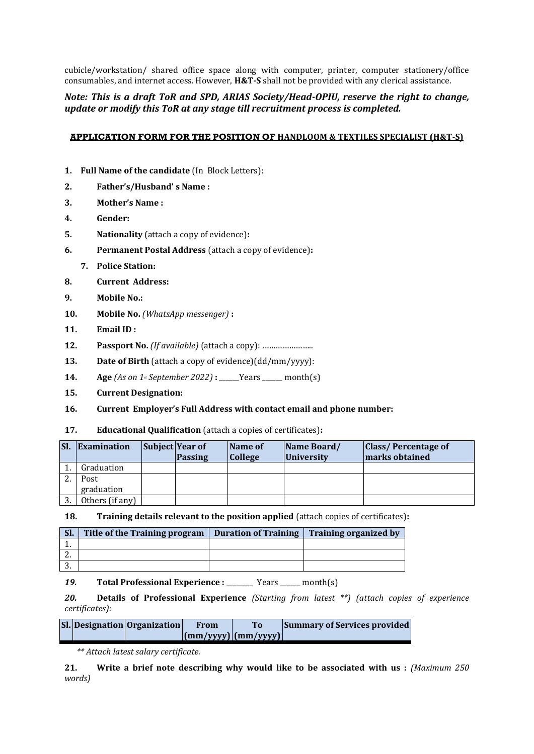cubicle/workstation/ shared office space along with computer, printer, computer stationery/office consumables, and internet access. However, **H&T-S** shall not be provided with any clerical assistance.

# *Note: This is a draft ToR and SPD, ARIAS Society/Head-OPIU, reserve the right to change, update or modify this ToR at any stage till recruitment process is completed.*

## **APPLICATION FORM FOR THE POSITION OF HANDLOOM & TEXTILES SPECIALIST (H&T-S)**

- **1. Full Name of the candidate** (In Block Letters):
- **2. Father's/Husband' s Name :**
- **3. Mother's Name :**
- **4. Gender:**
- **5. Nationality** (attach a copy of evidence)**:**
- **6. Permanent Postal Address** (attach a copy of evidence)**:**
	- **7. Police Station:**
- **8. Current Address:**
- **9. Mobile No.:**
- **10. Mobile No.** *(WhatsApp messenger)* **:**
- **11. Email ID :**
- **12. Passport No.** *(If available)* (attach a copy): …………………..
- **13. Date of Birth** (attach a copy of evidence)(dd/mm/yyyy):
- **14. Age**  $(As on 1<sup>s</sup> September 2022)$  **:** <u>\_\_\_\_\_</u>Years \_\_\_\_\_ month(s)
- **15. Current Designation:**
- **16. Current Employer's Full Address with contact email and phone number:**

## **17. Educational Qualification** (attach a copies of certificates)**:**

| SI. | Examination     | <b>Subject Year of</b><br>Passing | <b>Name of</b><br><b>College</b> | Name Board/<br><i><u><b>University</b></u></i> | <b>Class/Percentage of</b><br>marks obtained |
|-----|-----------------|-----------------------------------|----------------------------------|------------------------------------------------|----------------------------------------------|
|     | Graduation      |                                   |                                  |                                                |                                              |
|     | Post            |                                   |                                  |                                                |                                              |
|     | graduation      |                                   |                                  |                                                |                                              |
| 3.  | Others (if any) |                                   |                                  |                                                |                                              |

**18. Training details relevant to the position applied** (attach copies of certificates)**:**

| SI.      | Title of the Training program | <b>Duration of Training</b> | <b>Training organized by</b> |
|----------|-------------------------------|-----------------------------|------------------------------|
|          |                               |                             |                              |
| <u>.</u> |                               |                             |                              |
| ົ        |                               |                             |                              |

*19.* **Total Professional Experience :** \_\_\_\_\_\_\_\_ Years \_\_\_\_\_\_ month(s)

*20.* **Details of Professional Experience** *(Starting from latest \*\*) (attach copies of experience certificates):*

|  | Sl. Designation Organization | From                                                                                | To | <b>Summary of Services provided</b> |
|--|------------------------------|-------------------------------------------------------------------------------------|----|-------------------------------------|
|  |                              | $\left \frac{\text{mm}}{\text{yyy}}\right \left(\text{mm}/\text{yyy}\right)\right $ |    |                                     |

*\*\* Attach latest salary certificate.*

**21. Write a brief note describing why would like to be associated with us :** *(Maximum 250 words)*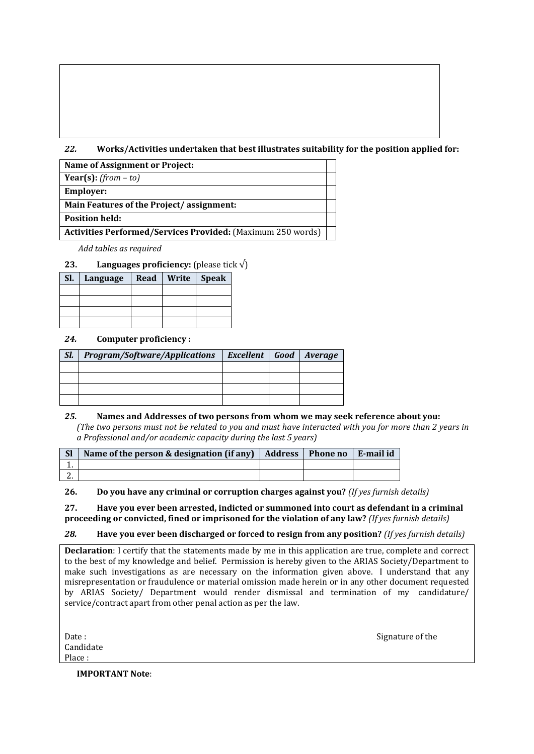# *22.* **Works/Activities undertaken that best illustrates suitability for the position applied for:**

| <b>Name of Assignment or Project:</b>                              |  |
|--------------------------------------------------------------------|--|
| Year(s): $(from - to)$                                             |  |
| <b>Employer:</b>                                                   |  |
| Main Features of the Project/assignment:                           |  |
| <b>Position held:</b>                                              |  |
| <b>Activities Performed/Services Provided: (Maximum 250 words)</b> |  |

*Add tables as required*

## **23. Languages proficiency:** (please tick  $\sqrt{}$ )

| SI. | Language | Read   Write   Speak |  |
|-----|----------|----------------------|--|
|     |          |                      |  |
|     |          |                      |  |
|     |          |                      |  |
|     |          |                      |  |

## *24.* **Computer proficiency :**

| SI. | Program/Software/Applications   Excellent   Good   Average |  |  |
|-----|------------------------------------------------------------|--|--|
|     |                                                            |  |  |
|     |                                                            |  |  |
|     |                                                            |  |  |
|     |                                                            |  |  |

#### *25.* **Names and Addresses of two persons from whom we may seek reference about you:** *(The two persons must not be related to you and must have interacted with you for more than 2 years in a Professional and/or academic capacity during the last 5 years)*

| <sub>Sl</sub> | Name of the person & designation (if any) $\vert$ Address $\vert$ Phone no $\vert$ |  | E-mail id |
|---------------|------------------------------------------------------------------------------------|--|-----------|
|               |                                                                                    |  |           |
| <u>.</u>      |                                                                                    |  |           |

**26. Do you have any criminal or corruption charges against you?** *(If yes furnish details)*

#### **27. Have you ever been arrested, indicted or summoned into court as defendant in a criminal proceeding or convicted, fined or imprisoned for the violation of any law?** *(If yes furnish details)*

# *28.* **Have you ever been discharged or forced to resign from any position?** *(If yes furnish details)*

**Declaration**: I certify that the statements made by me in this application are true, complete and correct to the best of my knowledge and belief. Permission is hereby given to the ARIAS Society/Department to make such investigations as are necessary on the information given above. I understand that any misrepresentation or fraudulence or material omission made herein or in any other document requested by ARIAS Society/ Department would render dismissal and termination of my candidature/ service/contract apart from other penal action as per the law.

| Date :    |
|-----------|
| Candidate |
| Place :   |

Signature of the

**IMPORTANT Note**: